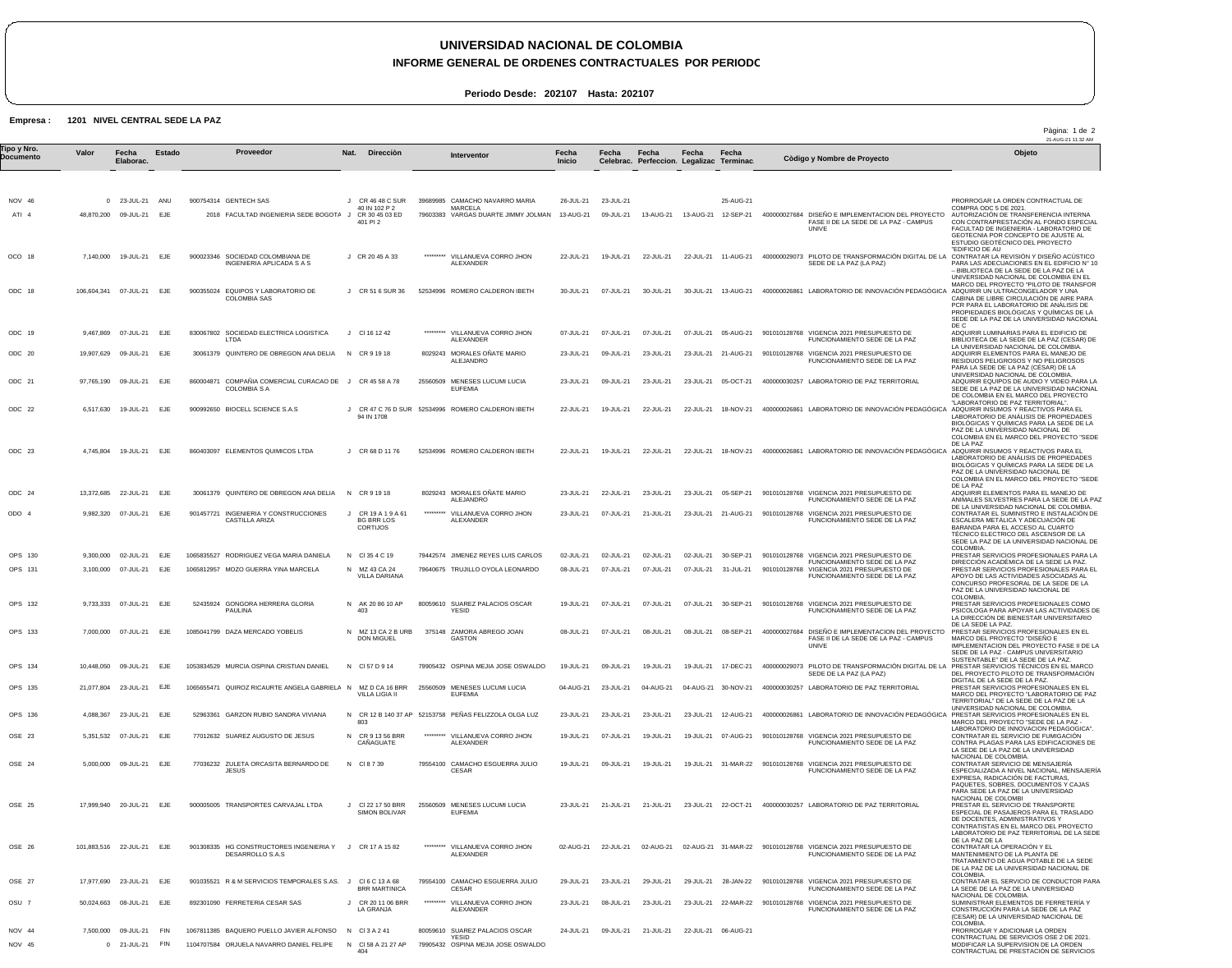## **UNIVERSIDAD NACIONAL DE COLOMBIA**

**INFORME GENERAL DE ORDENES CONTRACTUALES POR PERIODO** 

**Periodo Desde: 202107 Hasta: 202107**

## **Empresa : 1201 NIVEL CENTRAL SEDE LA PAZ**

|                          |            |                                         |               |                                                                                      |         |                                                               |           |                                                                                                   |                        |                        |                                                    |           |                                  |              |                                                                                                     | Pàgina: 1 de 2<br>21-AUG-21 11:32 AM                                                                                                                                                                                                                              |
|--------------------------|------------|-----------------------------------------|---------------|--------------------------------------------------------------------------------------|---------|---------------------------------------------------------------|-----------|---------------------------------------------------------------------------------------------------|------------------------|------------------------|----------------------------------------------------|-----------|----------------------------------|--------------|-----------------------------------------------------------------------------------------------------|-------------------------------------------------------------------------------------------------------------------------------------------------------------------------------------------------------------------------------------------------------------------|
| Tipo y Nro.<br>Documento | Valor      | Fecha<br>Elaborac.                      | <b>Estado</b> | Proveedor                                                                            |         | Nat. Direcciòn                                                |           | Interventor                                                                                       | Fecha<br><b>Inicio</b> | Fecha                  | Fecha<br>Celebrac. Perfeccion. Legalizac Terminac. | Fecha     | Fecha                            |              | Còdigo y Nombre de Proyecto                                                                         | Objeto                                                                                                                                                                                                                                                            |
| NOV 46<br>$ATI$ 4        |            | 0 23-JUL-21<br>48,870,200 09-JUL-21 EJE | ANU           | 900754314 GENTECH SAS<br>2018 FACULTAD INGENIERIA SEDE BOGOTA J                      | $\cdot$ | CR 46 48 C SUR<br>40 IN 102 P 2<br>CR 30 45 03 ED<br>401 PI 2 |           | 39689985 CAMACHO NAVARRO MARIA<br><b>MARCELA</b><br>79603383 VARGAS DUARTE JIMMY JOLMAN 13-AUG-21 | 26-JUL-21              | 23-JUL-21<br>09-JUL-21 | 13-AUG-21                                          |           | 25-AUG-21<br>13-AUG-21 12-SEP-21 |              | 400000027684 DISEÑO E IMPLEMENTACION DEL PROYECTO<br>FASE II DE LA SEDE DE LA PAZ - CAMPUS<br>UNIVE | PRORROGAR LA ORDEN CONTRACTUAL DE<br>COMPRA ODC 5 DE 2021.<br>AUTORIZACIÓN DE TRANSFERENCIA INTERNA<br>CON CONTRAPRESTACIÓN AL FONDO ESPECIA<br>FACULTAD DE INGENIERIA - LABORATORIO DE<br>GEOTECNIA POR CONCEPTO DE AJUSTE AL<br>ESTUDIO GEOTÉCNICO DEL PROYECTO |
| OCO 18                   | 7,140,000  | 19-JUL-21 EJE                           |               | 900023346 SOCIEDAD COLOMBIANA DE<br>INGENIERIA APLICADA S A S                        |         | J CR 20 45 A 33                                               |           | ********* VILLANUEVA CORRO JHON<br>ALEXANDER                                                      | 22-JUL-21              | 19-JUL-21              | 22-JUL-21                                          |           | 22-JUL-21 11-AUG-21              |              | 400000029073 PILOTO DE TRANSFORMACIÓN DIGITAL DE LA<br>SEDE DE LA PAZ (LA PAZ)                      | "EDIFICIO DE AU<br>CONTRATAR LA REVISIÓN Y DISEÑO ACÚSTICO<br>PARA LAS ADECUACIONES EN EL EDIFICIO Nº 10<br>- BIBLIOTECA DE LA SEDE DE LA PAZ DE LA<br>UNIVERSIDAD NACIONAL DE COLOMBIA EN EL                                                                     |
| ODC 18                   |            | 106,604,341  07-JUL-21  EJE             |               | 900355024 EQUIPOS Y LABORATORIO DE<br><b>COLOMBIA SAS</b>                            |         | J CR 51 6 SUR 36                                              |           | 52534996 ROMERO CALDERON IBETH                                                                    | 30-JUL-21              | 07-JUL-21              | 30-JUL-21                                          | 30-JUL-21 | 13-AUG-21                        |              | 400000026861 LABORATORIO DE INNOVACIÓN PEDAGÓGICA ADQUIRIR UN ULTRACONGELADOR Y UNA                 | MARCO DEL PROYECTO "PILOTO DE TRANSFOR<br>CABINA DE LIBRE CIRCULACIÓN DE AIRE PARA<br>PCR PARA EL LABORATORIO DE ANALISIS DE<br>PROPIEDADES BIOLÓGICAS Y QUÍMICAS DE LA<br>SEDE DE LA PAZ DE LA UNIVERSIDAD NACIONAL                                              |
| ODC 19                   | 9,467,869  | 07-JUL-21                               | EJE           | 830067802 SOCIEDAD ELECTRICA LOGISTICA<br>LTDA                                       |         | $J$ CI 16 12 42                                               | ********* | VILLANUEVA CORRO JHON<br>ALEXANDER                                                                | 07-JUL-21              | 07-JUL-21              | 07-JUL-21                                          | 07-JUL-21 | 05-AUG-21                        |              | 901010128768 VIGENCIA 2021 PRESUPUESTO DE<br>FUNCIONAMIENTO SEDE DE LA PAZ                          | DE C<br>ADQUIRIR LUMINARIAS PARA EL EDIFICIO DE<br>BIBLIOTECA DE LA SEDE DE LA PAZ (CESAR) DE                                                                                                                                                                     |
| ODC 20                   |            | 19,907,629  09-JUL-21  EJE              |               | 30061379 QUINTERO DE OBREGON ANA DELIA                                               |         | N CR 9 19 18                                                  |           | 8029243 MORALES ONATE MARIO<br><b>ALEJANDRO</b>                                                   | 23-JUL-21              | 09-JUL-21              | 23-JUL-21                                          |           | 23-JUL-21 21-AUG-21              |              | 901010128768 VIGENCIA 2021 PRESUPUESTO DE<br>FUNCIONAMIENTO SEDE DE LA PAZ                          | LA UNIVERSIDAD NACIONAL DE COLOMBIA.<br>ADQUIRIR ELEMENTOS PARA EL MANEJO DE<br>RESIDUOS PELIGROSOS Y NO PELIGROSOS<br>PARA LA SEDE DE LA PAZ (CÉSAR) DE LA                                                                                                       |
| ODC 21                   | 97,765,190 | 09-JUL-21 EJE                           |               | 860004871 COMPAÑIA COMERCIAL CURACAO DE J CR 45 58 A 78<br><b>COLOMBIA S A</b>       |         |                                                               |           | 25560509 MENESES LUCUMI LUCIA<br><b>EUFEMIA</b>                                                   | 23-JUL-21              | 09-JUL-21              | 23-JUL-21                                          | 23-JUL-21 | 05-OCT-21                        |              | 400000030257 LABORATORIO DE PAZ TERRITORIAL                                                         | UNIVERSIDAD NACIONAL DE COLOMBIA.<br>ADQUIRIR EQUIPOS DE AUDIO Y VIDEO PARA LA<br>SEDE DE LA PAZ DE LA UNIVERSIDAD NACIONAL<br>DE COLOMBIA EN EL MARCO DEL PROYECTO<br>"LABORATORIO DE PAZ TERRITORIAL"                                                           |
| ODC 22                   | 6,517,630  | 19-JUL-21 EJE                           |               | 900992650 BIOCELL SCIENCE S.A.S                                                      |         | 94 IN 1708                                                    |           | J CR 47 C 76 D SUR 52534996 ROMERO CALDERON IBETH                                                 | 22-JUL-21              | 19-JUL-21              | 22-JUL-21                                          | 22-JUL-21 | 18-NOV-21                        |              | 400000026861 LABORATORIO DE INNOVACIÓN PEDAGÓGICA                                                   | ADQUIRIR INSUMOS Y REACTIVOS PARA EL<br>LABORATORIO DE ANÁLISIS DE PROPIEDADES<br>BIOLÓGICAS Y QUÍMICAS PARA LA SEDE DE LA<br>PAZ DE LA UNIVERSIDAD NACIONAL DE<br>COLOMBIA EN EL MARCO DEL PROYECTO "SEDE                                                        |
| ODC 23                   |            | 4,745,804 19-JUL-21                     | EJE           | 860403097 ELEMENTOS QUIMICOS LTDA                                                    |         | J CR 68 D 11 76                                               |           | 52534996 ROMERO CALDERON IBETH                                                                    | 22-JUL-21              | 19-JUL-21              | 22-JUL-21                                          | 22-JUL-21 | 18-NOV-21                        |              | 400000026861 LABORATORIO DE INNOVACIÓN PEDAGÓGICA ADQUIRIR INSUMOS Y REACTIVOS PARA EL              | DE LA PAZ<br>LABORATORIO DE ANÁLISIS DE PROPIEDADES<br>BIOLÓGICAS Y QUÍMICAS PARA LA SEDE DE LA<br>PAZ DE LA UNIVERSIDAD NACIONAL DE<br>COLOMBIA EN EL MARCO DEL PROYECTO "SEDE                                                                                   |
| ODC 24                   |            | 13,372,685 22-JUL-21 EJE                |               | 30061379 QUINTERO DE OBREGON ANA DELIA                                               |         | N CR 9 19 18                                                  |           | 8029243 MORALES ONATE MARIO<br>ALEJANDRO                                                          | 23-JUL-21              | 22-JUL-21              | 23-JUL-21                                          |           | 23-JUL-21 05-SEP-21              |              | 901010128768 VIGENCIA 2021 PRESUPUESTO DE<br>FUNCIONAMIENTO SEDE DE LA PAZ                          | DE LA PAZ<br>ADQUIRIR ELEMENTOS PARA EL MANEJO DE<br>ANIMALES SILVESTRES PARA LA SEDE DE LA PAZ                                                                                                                                                                   |
| ODO 4                    | 9,982,320  | 07-JUL-21 EJE                           |               | 901457721 INGENIERIA Y CONSTRUCCIONES<br>CASTILLA ARIZA                              | $\cdot$ | CR 19 A 1 9 A 61<br><b>BG BRR LOS</b><br><b>CORTIJOS</b>      | ********* | VILLANUEVA CORRO JHON<br>ALEXANDER                                                                | 23-JUL-21              | 07-JUL-21              | 21-JUL-21                                          |           | 23-JUL-21    21-AUG-21           |              | 901010128768 VIGENCIA 2021 PRESUPUESTO DE<br>FUNCIONAMIENTO SEDE DE LA PAZ                          | DE LA UNIVERSIDAD NACIONAL DE COLOMBIA.<br>CONTRATAR EL SUMINISTRO E INSTALACIÓN DE<br>ESCALERA METALICA Y ADECUACIÓN DE<br>BARANDA PARA EL ACCESO AL CUARTO<br>TÉCNICO ELECTRICO DEL ASCENSOR DE LA<br>SEDE LA PAZ DE LA UNIVERSIDAD NACIONAL DE                 |
| OPS 130                  |            | 9,300,000 02-JUL-21                     | EJE           | 1065835527 RODRIGUEZ VEGA MARIA DANIELA                                              |         | N CI354C19                                                    |           | 79442574 JIMENEZ REYES LUIS CARLOS                                                                | 02-JUL-21              | 02-JUL-21              | 02-JUL-21                                          |           | 02-JUL-21 30-SEP-21              |              | 901010128768 VIGENCIA 2021 PRESUPUESTO DE<br>FUNCIONAMIENTO SEDE DE LA PAZ                          | COLOMBIA.<br>PRESTAR SERVICIOS PROFESIONALES PARA LA<br>DIRECCIÓN ACADÉMICA DE LA SEDE LA PAZ.                                                                                                                                                                    |
| OPS 131                  | 3,100,000  | 07-JUL-21                               | EJE           | 1065812957 MOZO GUERRA YINA MARCELA                                                  |         | N MZ 43 CA 24<br>VILLA DARIANA                                |           | 79640675 TRUJILLO OYOLA LEONARDO                                                                  | 08-JUL-21              | 07-JUL-21              | 07-JUL-21                                          | 07-JUL-21 | 31-JUL-21                        | 901010128768 | VIGENCIA 2021 PRESUPUESTO DE<br>FUNCIONAMIENTO SEDE DE LA PAZ                                       | PRESTAR SERVICIOS PROFESIONALES PARA EL<br>APOYO DE LAS ACTIVIDADES ASOCIADAS AL<br>CONCURSO PROFESORAL DE LA SEDE DE LA<br>PAZ DE LA UNIVERSIDAD NACIONAL DE                                                                                                     |
| OPS 132                  |            | 9,733,333 07-JUL-21 EJE                 |               | 52435924 GONGORA HERRERA GLORIA<br>PAULINA                                           | 403     | N AK 20 86 10 AP                                              |           | 80059610 SUAREZ PALACIOS OSCAR<br><b>YESID</b>                                                    | 19-JUL-21              | 07-JUL-21              | 07-JUL-21                                          |           | 07-JUL-21 30-SEP-21              |              | 901010128768 VIGENCIA 2021 PRESUPUESTO DE<br>FUNCIONAMIENTO SEDE DE LA PAZ                          | COLOMBIA.<br>PRESTAR SERVICIOS PROFESIONALES COMO<br>PSICOLOGA PARA APOYAR LAS ACTIVIDADES DE<br>LA DIRECCIÓN DE BIENESTAR UNIVERSITARIO<br>DE LA SEDE LA PAZ.                                                                                                    |
| OPS 133                  |            | 7,000,000 07-JUL-21 EJE                 |               | 1085041799 DAZA MERCADO YOBELIS                                                      |         | N MZ 13 CA 2 B URB<br>DON MIGUEL                              |           | 375148 ZAMORA ABREGO JOAN<br>GASTON                                                               | 08-JUL-21              | 07-JUL-21              | 08-JUL-21                                          | 08-JUL-21 | 08-SEP-21                        |              | 400000027684 DISENO E IMPLEMENTACION DEL PROYECTO<br>FASE II DE LA SEDE DE LA PAZ - CAMPUS<br>UNIVE | PRESTAR SERVICIOS PROFESIONALES EN EL<br>MARCO DEL PROYECTO "DISEÑO E<br>IMPLEMENTACION DEL PROYECTO FASE II DE LA<br>SEDE DE LA PAZ - CAMPUS UNIVERSITARIO                                                                                                       |
| OPS 134                  |            | 10,448,050 09-JUL-21                    | EJE           | 1053834529 MURCIA OSPINA CRISTIAN DANIEL                                             |         | N CI57 D 9 14                                                 |           | 79905432 OSPINA MEJIA JOSE OSWALDO                                                                | 19-JUL-21              | 09-JUL-21              | 19-JUL-21                                          | 19-JUL-21 | 17-DEC-21                        |              | SEDE DE LA PAZ (LA PAZ)                                                                             | SUSTENTABLE" DE LA SEDE DE LA PAZ.<br>400000029073 PILOTO DE TRANSFORMACIÓN DIGITAL DE LA PRESTAR SERVICIOS TÉCNICOS EN EL MARCO<br>DEL PROYECTO PILOTO DE TRANSFORMACION                                                                                         |
| OPS 135                  |            | 21.077.804 23-JUL-21 EJE                |               | 1065655471 QUIROZ RICAURTE ANGELA GABRIELA N MZ D CA 16 BRR                          |         | <b>VILLA LIGIA II</b>                                         |           | 25560509 MENESES LUCUMI LUCIA<br><b>EUFEMIA</b>                                                   | 04-AUG-21              | 23-JUL-21              | 04-AUG-21                                          |           |                                  |              | 04-AUG-21 30-NOV-21 400000030257 LABORATORIO DE PAZ TERRITORIAL                                     | DIGITAL DE LA SEDE DE LA PAZ.<br>PRESTAR SERVICIOS PROFESIONALES EN EL<br>MARCO DEL PROYECTO "LABORATORIO DE PAZ<br>TERRITORIAL" DE LA SEDE DE LA PAZ DE LA<br>UNIVERSIDAD NACIONAL DE COLOMBIA.                                                                  |
| OPS 136                  |            | 4,088,367 23-JUL-21 EJE                 |               | 52963361 GARZON RUBIO SANDRA VIVIANA                                                 | 803     |                                                               |           | N CR 12 B 140 37 AP 52153758 PEÑAS FELIZZOLA OLGA LUZ                                             | 23-JUL-21              | 23-JUL-21              | 23-JUL-21                                          | 23-JUL-21 | 12-AUG-21                        |              | 400000026861 LABORATORIO DE INNOVACIÓN PEDAGÓGICA PRESTAR SERVICIOS PROFESIONALES EN EL             | MARCO DEL PROYECTO "SEDE DE LA PAZ -                                                                                                                                                                                                                              |
| OSE 23                   |            | 5,351,532 07-JUL-21 EJE                 |               | 77012632 SUAREZ AUGUSTO DE JESUS                                                     |         | N CR 9 13 56 BRR<br>CAÑAGUATE                                 |           | ********* VILLANUEVA CORRO JHON<br>ALEXANDER                                                      | 19-JUL-21              | 07-JUL-21              | 19-JUL-21                                          |           | 19-JUL-21 07-AUG-21              |              | 901010128768 VIGENCIA 2021 PRESUPUESTO DE<br>FUNCIONAMIENTO SEDE DE LA PAZ                          | LABORATORIO DE INNOVACION PEDAGOGICA"<br>CONTRATAR EL SERVICIO DE FUMIGACIÓN<br>CONTRA PLAGAS PARA LAS EDIFICACIONES DE<br>LA SEDE DE LA PAZ DE LA UNIVERSIDAD<br>NACIONAL DE COLOMBIA.                                                                           |
| OSE 24                   |            | 5,000,000 09-JUL-21 EJE                 |               | 77036232 ZULETA ORCASITA BERNARDO DE<br><b>JESUS</b>                                 |         | N CI8739                                                      |           | 79554100 CAMACHO ESGUERRA JULIO<br>CESAR                                                          | 19-JUL-21              | 09-JUL-21              | 19-JUL-21                                          |           |                                  |              | 19-JUL-21 31-MAR-22 901010128768 VIGENCIA 2021 PRESUPUESTO DE<br>FUNCIONAMIENTO SEDE DE LA PAZ      | CONTRATAR SERVICIO DE MENSAJERÍA<br>ESPECIALIZADA A NIVEL NACIONAL, MENSAJERÍA<br>EXPRESA, RADICACIÓN DE FACTURAS,<br>PAQUETES, SOBRES, DOCUMENTOS Y CAJAS                                                                                                        |
| OSE 25                   |            | 17,999,940 20-JUL-21 EJE                |               | 900005005 TRANSPORTES CARVAJAL LTDA                                                  |         | J CI 22 17 50 BRR<br><b>SIMON BOLIVAR</b>                     |           | 25560509 MENESES LUCUMI LUCIA<br><b>EUFEMIA</b>                                                   | 23-JUL-21              | 21-JUL-21              | 21-JUL-21                                          |           | 23-JUL-21 22-OCT-21              |              | 400000030257 LABORATORIO DE PAZ TERRITORIAL                                                         | PARA SEDE LA PAZ DE LA UNIVERSIDAD<br>NACIONAL DE COLOMBI<br>PRESTAR EL SERVICIO DE TRANSPORTE<br>ESPECIAL DE PASAJEROS PARA EL TRASLADO<br>DE DOCENTES, ADMINISTRATIVOS Y<br>CONTRATISTAS EN EL MARCO DEL PROYECTO<br>LABORATORIO DE PAZ TERRITORIAL DE LA SEDE  |
| OSE 26                   |            | 101,883,516 22-JUL-21 EJE               |               | 901308335 HG CONSTRUCTORES INGENIERIA Y J CR 17 A 15 82<br>DESARROLLO S.A.S          |         |                                                               |           | ********* VILLANUEVA CORRO JHON<br><b>ALEXANDER</b>                                               | 02-AUG-21              | 22-JUL-21              | 02-AUG-21                                          |           |                                  |              | 02-AUG-21 31-MAR-22 901010128768 VIGENCIA 2021 PRESUPUESTO DE<br>FUNCIONAMIENTO SEDE DE LA PAZ      | DE LA PAZ DE LA<br>CONTRATAR LA OPERACIÓN Y EL<br>MANTENIMIENTO DE LA PLANTA DE<br>TRATAMIENTO DE AGUA POTABLE DE LA SEDE<br>DE LA PAZ DE LA UNIVERSIDAD NACIONAL DE                                                                                              |
| OSE 27                   |            | 17,977,690 23-JUL-21 EJE                |               | 901035521 R & M SERVICIOS TEMPORALES S.AS. J                                         |         | CI6 C 13 A 68<br><b>BRR MARTINICA</b>                         |           | 79554100 CAMACHO ESGUERRA JULIO<br><b>CESAR</b>                                                   | 29-JUL-21              | 23-JUL-21              | 29-JUL-21                                          |           | 29-JUL-21 28-JAN-22              |              | 901010128768 VIGENCIA 2021 PRESUPUESTO DE<br>FUNCIONAMIENTO SEDE DE LA PAZ                          | COLOMBIA.<br>CONTRATAR EL SERVICIO DE CONDUCTOR PARA<br>LA SEDE DE LA PAZ DE LA UNIVERSIDAD                                                                                                                                                                       |
| OSU 7                    | 50,024,663 | 08-JUL-21                               | EJE           | 892301090 FERRETERIA CESAR SAS                                                       |         | J CR 20 11 06 BRR<br>LA GRANJA                                |           | ********* VILLANUEVA CORRO JHON<br>ALEXANDER                                                      | 23-JUL-21              | 08-JUL-21              | 23-JUL-21                                          |           |                                  |              | 23-JUL-21  22-MAR-22  901010128768  VIGENCIA  2021  PRESUPUESTO DE<br>FUNCIONAMIENTO SEDE DE LA PAZ | NACIONAL DE COLOMBIA.<br>SUMINISTRAR ELEMENTOS DE FERRETERÍA Y<br>CONSTRUCCIÓN PARA LA SEDE DE LA PAZ<br>(CESAR) DE LA UNIVERSIDAD NACIONAL DE<br>COLOMBIA.                                                                                                       |
| NOV 44<br>NOV 45         | 7,500,000  | 09-JUL-21<br>0 21-JUL-21                | FIN<br>FIN    | 1067811385 BAQUERO PUELLO JAVIER ALFONSO<br>1104707584 ORJUELA NAVARRO DANIEL FELIPE | 404     | N CI3A241<br>N CI 58 A 21 27 AP                               |           | 80059610 SUAREZ PALACIOS OSCAR<br>YESID<br>79905432 OSPINA MEJIA JOSE OSWALDO                     | 24-JUL-21              | 09-JUL-21              | 21-JUL-21                                          |           | 22-JUL-21 06-AUG-21              |              |                                                                                                     | PRORROGAR Y ADICIONAR LA ORDEN<br>CONTRACTUAL DE SERVICIOS OSE 2 DE 2021<br>MODIFICAR LA SUPERVISION DE LA ORDEN<br>CONTRACTUAL DE PRESTACIÓN DE SERVICIOS                                                                                                        |